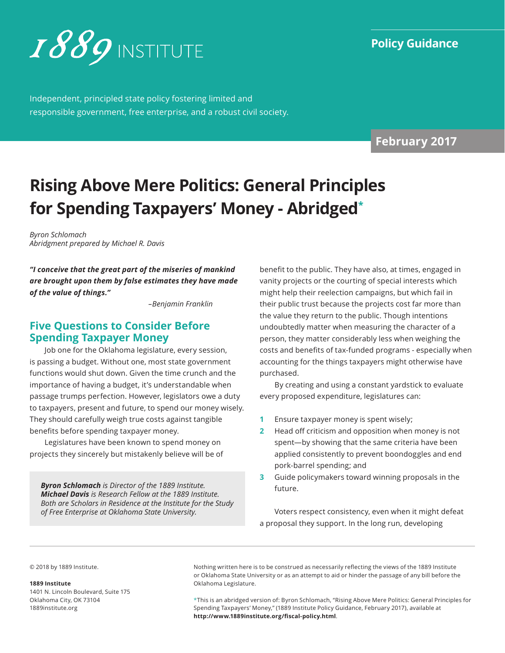

Independent, principled state policy fostering limited and responsible government, free enterprise, and a robust civil society.

**February 2017**

# **Rising Above Mere Politics: General Principles for Spending Taxpayers' Money - Abridged\***

*Byron Schlomach Abridgment prepared by Michael R. Davis*

*"I conceive that the great part of the miseries of mankind are brought upon them by false estimates they have made of the value of things."*

 *–Benjamin Franklin* 

# **Five Questions to Consider Before Spending Taxpayer Money**

Job one for the Oklahoma legislature, every session, is passing a budget. Without one, most state government functions would shut down. Given the time crunch and the importance of having a budget, it's understandable when passage trumps perfection. However, legislators owe a duty to taxpayers, present and future, to spend our money wisely. They should carefully weigh true costs against tangible benefits before spending taxpayer money.

Legislatures have been known to spend money on projects they sincerely but mistakenly believe will be of

*Byron Schlomach is Director of the 1889 Institute. Michael Davis is Research Fellow at the 1889 Institute. Both are Scholars in Residence at the Institute for the Study of Free Enterprise at Oklahoma State University.*

benefit to the public. They have also, at times, engaged in vanity projects or the courting of special interests which might help their reelection campaigns, but which fail in their public trust because the projects cost far more than the value they return to the public. Though intentions undoubtedly matter when measuring the character of a person, they matter considerably less when weighing the costs and benefits of tax-funded programs - especially when accounting for the things taxpayers might otherwise have purchased.

By creating and using a constant yardstick to evaluate every proposed expenditure, legislatures can:

- **1** Ensure taxpayer money is spent wisely;
- **2** Head off criticism and opposition when money is not spent—by showing that the same criteria have been applied consistently to prevent boondoggles and end pork-barrel spending; and
- **3** Guide policymakers toward winning proposals in the future.

Voters respect consistency, even when it might defeat a proposal they support. In the long run, developing

© 2018 by 1889 Institute.

#### **1889 Institute**

1401 N. Lincoln Boulevard, Suite 175 Oklahoma City, OK 73104 [1889institute.org](http://www.1889institute.org)

Nothing written here is to be construed as necessarily reflecting the views of the 1889 Institute or Oklahoma State University or as an attempt to aid or hinder the passage of any bill before the Oklahoma Legislature.

\*This is an abridged version of: Byron Schlomach, "Rising Above Mere Politics: General Principles for Spending Taxpayers' Money," (1889 Institute Policy Guidance, February 2017), available at **http://www.1889institute.org/fiscal-policy.html**.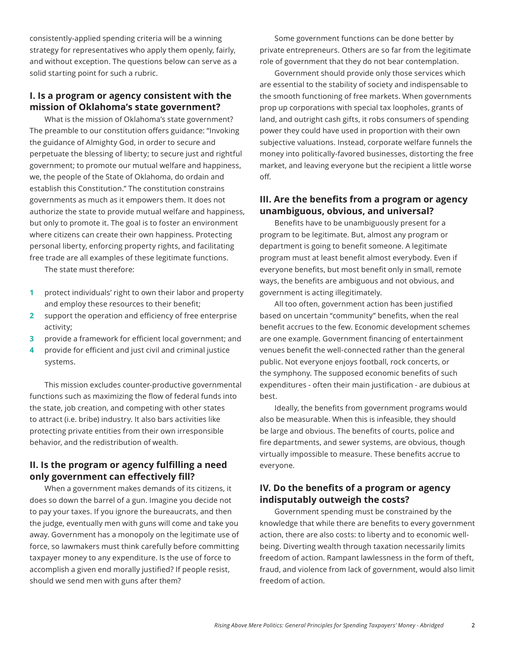consistently-applied spending criteria will be a winning strategy for representatives who apply them openly, fairly, and without exception. The questions below can serve as a solid starting point for such a rubric.

#### **I. Is a program or agency consistent with the mission of Oklahoma's state government?**

What is the mission of Oklahoma's state government? The preamble to our constitution offers guidance: "Invoking the guidance of Almighty God, in order to secure and perpetuate the blessing of liberty; to secure just and rightful government; to promote our mutual welfare and happiness, we, the people of the State of Oklahoma, do ordain and establish this Constitution." The constitution constrains governments as much as it empowers them. It does not authorize the state to provide mutual welfare and happiness, but only to promote it. The goal is to foster an environment where citizens can create their own happiness. Protecting personal liberty, enforcing property rights, and facilitating free trade are all examples of these legitimate functions.

The state must therefore:

- **1** protect individuals' right to own their labor and property and employ these resources to their benefit;
- **2** support the operation and efficiency of free enterprise activity;
- **3** provide a framework for efficient local government; and
- **4** provide for efficient and just civil and criminal justice systems.

This mission excludes counter-productive governmental functions such as maximizing the flow of federal funds into the state, job creation, and competing with other states to attract (i.e. bribe) industry. It also bars activities like protecting private entities from their own irresponsible behavior, and the redistribution of wealth.

### **II. Is the program or agency fulfilling a need only government can effectively fill?**

When a government makes demands of its citizens, it does so down the barrel of a gun. Imagine you decide not to pay your taxes. If you ignore the bureaucrats, and then the judge, eventually men with guns will come and take you away. Government has a monopoly on the legitimate use of force, so lawmakers must think carefully before committing taxpayer money to any expenditure. Is the use of force to accomplish a given end morally justified? If people resist, should we send men with guns after them?

Some government functions can be done better by private entrepreneurs. Others are so far from the legitimate role of government that they do not bear contemplation.

Government should provide only those services which are essential to the stability of society and indispensable to the smooth functioning of free markets. When governments prop up corporations with special tax loopholes, grants of land, and outright cash gifts, it robs consumers of spending power they could have used in proportion with their own subjective valuations. Instead, corporate welfare funnels the money into politically-favored businesses, distorting the free market, and leaving everyone but the recipient a little worse off.

### **III. Are the benefits from a program or agency unambiguous, obvious, and universal?**

Benefits have to be unambiguously present for a program to be legitimate. But, almost any program or department is going to benefit someone. A legitimate program must at least benefit almost everybody. Even if everyone benefits, but most benefit only in small, remote ways, the benefits are ambiguous and not obvious, and government is acting illegitimately.

All too often, government action has been justified based on uncertain "community" benefits, when the real benefit accrues to the few. Economic development schemes are one example. Government financing of entertainment venues benefit the well-connected rather than the general public. Not everyone enjoys football, rock concerts, or the symphony. The supposed economic benefits of such expenditures - often their main justification - are dubious at best.

Ideally, the benefits from government programs would also be measurable. When this is infeasible, they should be large and obvious. The benefits of courts, police and fire departments, and sewer systems, are obvious, though virtually impossible to measure. These benefits accrue to everyone.

### **IV. Do the benefits of a program or agency indisputably outweigh the costs?**

Government spending must be constrained by the knowledge that while there are benefits to every government action, there are also costs: to liberty and to economic wellbeing. Diverting wealth through taxation necessarily limits freedom of action. Rampant lawlessness in the form of theft, fraud, and violence from lack of government, would also limit freedom of action.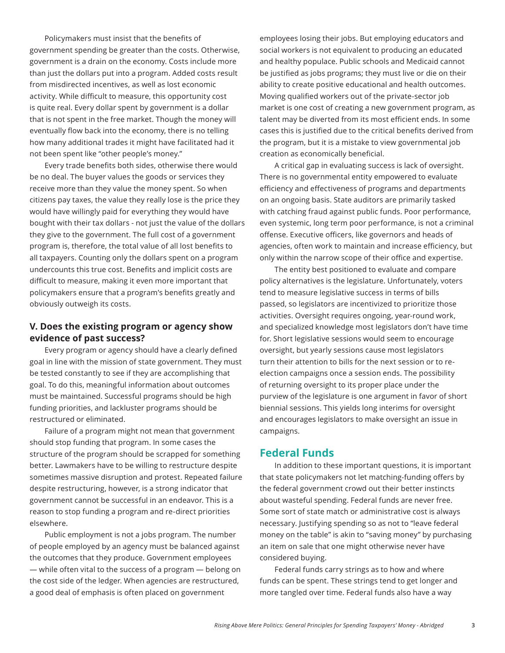Policymakers must insist that the benefits of government spending be greater than the costs. Otherwise, government is a drain on the economy. Costs include more than just the dollars put into a program. Added costs result from misdirected incentives, as well as lost economic activity. While difficult to measure, this opportunity cost is quite real. Every dollar spent by government is a dollar that is not spent in the free market. Though the money will eventually flow back into the economy, there is no telling how many additional trades it might have facilitated had it not been spent like "other people's money."

Every trade benefits both sides, otherwise there would be no deal. The buyer values the goods or services they receive more than they value the money spent. So when citizens pay taxes, the value they really lose is the price they would have willingly paid for everything they would have bought with their tax dollars - not just the value of the dollars they give to the government. The full cost of a government program is, therefore, the total value of all lost benefits to all taxpayers. Counting only the dollars spent on a program undercounts this true cost. Benefits and implicit costs are difficult to measure, making it even more important that policymakers ensure that a program's benefits greatly and obviously outweigh its costs.

### **V. Does the existing program or agency show evidence of past success?**

Every program or agency should have a clearly defined goal in line with the mission of state government. They must be tested constantly to see if they are accomplishing that goal. To do this, meaningful information about outcomes must be maintained. Successful programs should be high funding priorities, and lackluster programs should be restructured or eliminated.

Failure of a program might not mean that government should stop funding that program. In some cases the structure of the program should be scrapped for something better. Lawmakers have to be willing to restructure despite sometimes massive disruption and protest. Repeated failure despite restructuring, however, is a strong indicator that government cannot be successful in an endeavor. This is a reason to stop funding a program and re-direct priorities elsewhere.

Public employment is not a jobs program. The number of people employed by an agency must be balanced against the outcomes that they produce. Government employees — while often vital to the success of a program — belong on the cost side of the ledger. When agencies are restructured, a good deal of emphasis is often placed on government

employees losing their jobs. But employing educators and social workers is not equivalent to producing an educated and healthy populace. Public schools and Medicaid cannot be justified as jobs programs; they must live or die on their ability to create positive educational and health outcomes. Moving qualified workers out of the private-sector job market is one cost of creating a new government program, as talent may be diverted from its most efficient ends. In some cases this is justified due to the critical benefits derived from the program, but it is a mistake to view governmental job creation as economically beneficial.

A critical gap in evaluating success is lack of oversight. There is no governmental entity empowered to evaluate efficiency and effectiveness of programs and departments on an ongoing basis. State auditors are primarily tasked with catching fraud against public funds. Poor performance, even systemic, long term poor performance, is not a criminal offense. Executive officers, like governors and heads of agencies, often work to maintain and increase efficiency, but only within the narrow scope of their office and expertise.

The entity best positioned to evaluate and compare policy alternatives is the legislature. Unfortunately, voters tend to measure legislative success in terms of bills passed, so legislators are incentivized to prioritize those activities. Oversight requires ongoing, year-round work, and specialized knowledge most legislators don't have time for. Short legislative sessions would seem to encourage oversight, but yearly sessions cause most legislators turn their attention to bills for the next session or to reelection campaigns once a session ends. The possibility of returning oversight to its proper place under the purview of the legislature is one argument in favor of short biennial sessions. This yields long interims for oversight and encourages legislators to make oversight an issue in campaigns.

# **Federal Funds**

In addition to these important questions, it is important that state policymakers not let matching-funding offers by the federal government crowd out their better instincts about wasteful spending. Federal funds are never free. Some sort of state match or administrative cost is always necessary. Justifying spending so as not to "leave federal money on the table" is akin to "saving money" by purchasing an item on sale that one might otherwise never have considered buying.

Federal funds carry strings as to how and where funds can be spent. These strings tend to get longer and more tangled over time. Federal funds also have a way